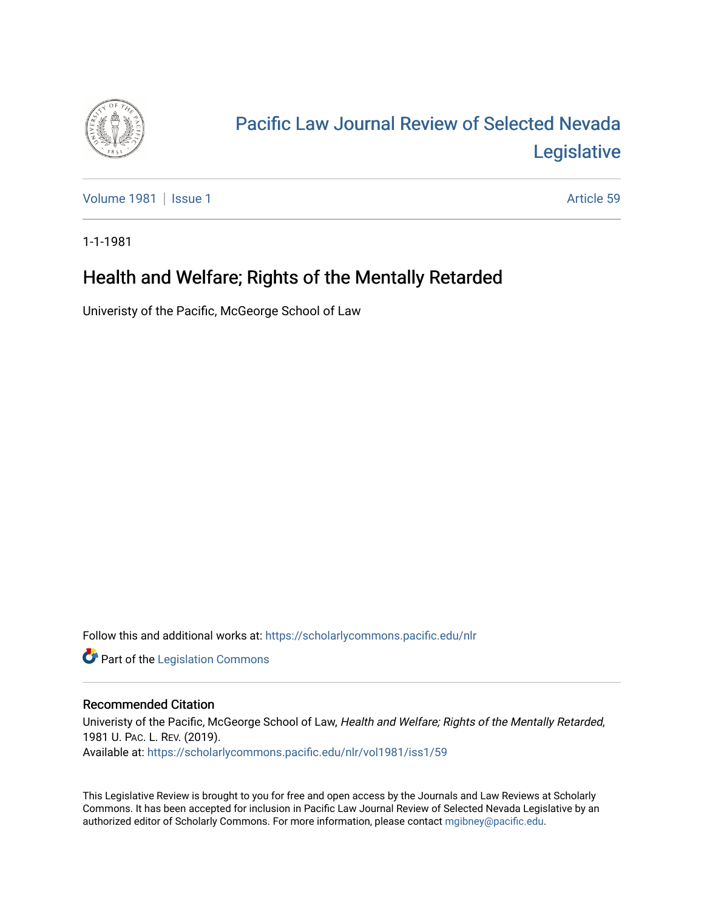

# [Pacific Law Journal Review of Selected Nevada](https://scholarlycommons.pacific.edu/nlr)  [Legislative](https://scholarlycommons.pacific.edu/nlr)

[Volume 1981](https://scholarlycommons.pacific.edu/nlr/vol1981) | [Issue 1](https://scholarlycommons.pacific.edu/nlr/vol1981/iss1) Article 59

1-1-1981

## Health and Welfare; Rights of the Mentally Retarded

Univeristy of the Pacific, McGeorge School of Law

Follow this and additional works at: [https://scholarlycommons.pacific.edu/nlr](https://scholarlycommons.pacific.edu/nlr?utm_source=scholarlycommons.pacific.edu%2Fnlr%2Fvol1981%2Fiss1%2F59&utm_medium=PDF&utm_campaign=PDFCoverPages) 

**Part of the [Legislation Commons](http://network.bepress.com/hgg/discipline/859?utm_source=scholarlycommons.pacific.edu%2Fnlr%2Fvol1981%2Fiss1%2F59&utm_medium=PDF&utm_campaign=PDFCoverPages)** 

### Recommended Citation

Univeristy of the Pacific, McGeorge School of Law, Health and Welfare; Rights of the Mentally Retarded, 1981 U. PAC. L. REV. (2019). Available at: [https://scholarlycommons.pacific.edu/nlr/vol1981/iss1/59](https://scholarlycommons.pacific.edu/nlr/vol1981/iss1/59?utm_source=scholarlycommons.pacific.edu%2Fnlr%2Fvol1981%2Fiss1%2F59&utm_medium=PDF&utm_campaign=PDFCoverPages)

This Legislative Review is brought to you for free and open access by the Journals and Law Reviews at Scholarly Commons. It has been accepted for inclusion in Pacific Law Journal Review of Selected Nevada Legislative by an authorized editor of Scholarly Commons. For more information, please contact [mgibney@pacific.edu](mailto:mgibney@pacific.edu).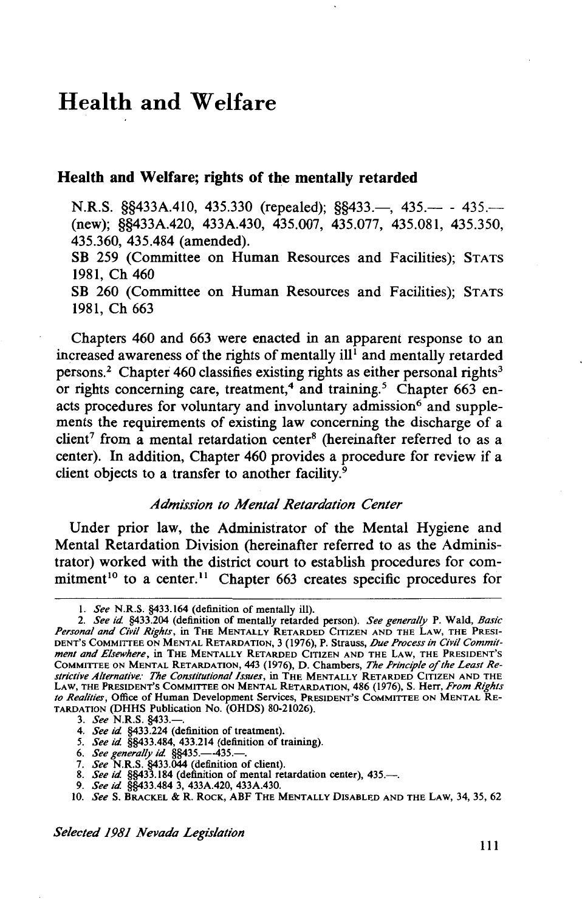### **Health and Welfare**

#### **Health and Welfare; rights of the mentally retarded**

N.R.S. §§433A.410, 435.330 (repealed); §§433.—, 435.— - 435.— (new); §§433A.420, 433A.430, 435.007, 435.077, 435.081, 435.350, 435.360, 435.484 (amended).

SB 259 (Committee on Human Resources and Facilities); STATS 1981, Ch 460

SB 260 (Committee on Human Resources and Facilities); STATS 1981, Ch 663

Chapters 460 and 663 were enacted in an apparent response to an increased awareness of the rights of mentally ill<sup>1</sup> and mentally retarded persons.<sup>2</sup> Chapter 460 classifies existing rights as either personal rights<sup>3</sup> or rights concerning care, treatment,<sup>4</sup> and training.<sup>5</sup> Chapter 663 enacts procedures for voluntary and involuntary admission<sup>6</sup> and supplements the requirements of existing law concerning the discharge of a  $client<sup>7</sup>$  from a mental retardation center<sup>8</sup> (hereinafter referred to as a center). In addition, Chapter 460 provides a procedure for review if a client objects to a transfer to another facility.<sup>9</sup>

#### *Admission to Mental Retardation Center*

Under prior law, the Administrator of the Mental Hygiene and Mental Retardation Division (hereinafter referred to as the Administrator) worked with the district court to establish procedures for commitment<sup>10</sup> to a center.<sup>11</sup> Chapter 663 creates specific procedures for

9. *See id* §§433.484 3, 433A.420, 433A.430.

I. *See* N.R.S. §433.164 (definition of mentally ill).

<sup>2.</sup> *See id* §433.204 (definition of mentally retarded person). *See generally* P. Wald, *Basic Personal and Civil Rights,* in THE MENTALLY RETARDED CiTIZEN AND THE LAW, THE PRESI-DENT'S COMMITTEE ON MENTAL RETARDATION, 3 (1976), P. Strauss, *lJue Process in Civil Commitment and Elsewhere,* in THE MENTALLY RETARDED CITIZEN AND THE LAW, THE PRESIDENT'S COMMITTEE ON MENTAL RETARDATION, 443 (1976), D. Chambers, The Principle of the Least Re*strictive Alternative: The Constitutional Issues,* in THE MENTALLY RETARDED CITIZEN AND THE LAW, THE PRESIDENT'S COMMITTEE ON MENTAL RETARDATION, 486 (1976), S. Herr, *From Rights to Realities,* Office of Human Development Services, PRESIDENT'S COMMITTEE ON MENTAL RE-TARDATION (DHHS Publication No. (OHDS) 80-21026).

<sup>3.</sup> *See* N.R.S. §433.-

<sup>4.</sup> *See id* §433.224 (definition of treatment).

*<sup>5.</sup> See id* §§433.484, 433.214 (definition of training).

<sup>6.</sup> *See generally id.* §§435.-435.-

<sup>7.</sup> *See* N.R.S. §433.044 (definition of client).<br>8. *See id.* §§433.184 (definition of mental retardation center), 435.---.

<sup>10.</sup> *SeeS.* BRACKEL & R. ROCK, ABF THE MENTALLY DISABLED AND THE LAW, 34, 35,62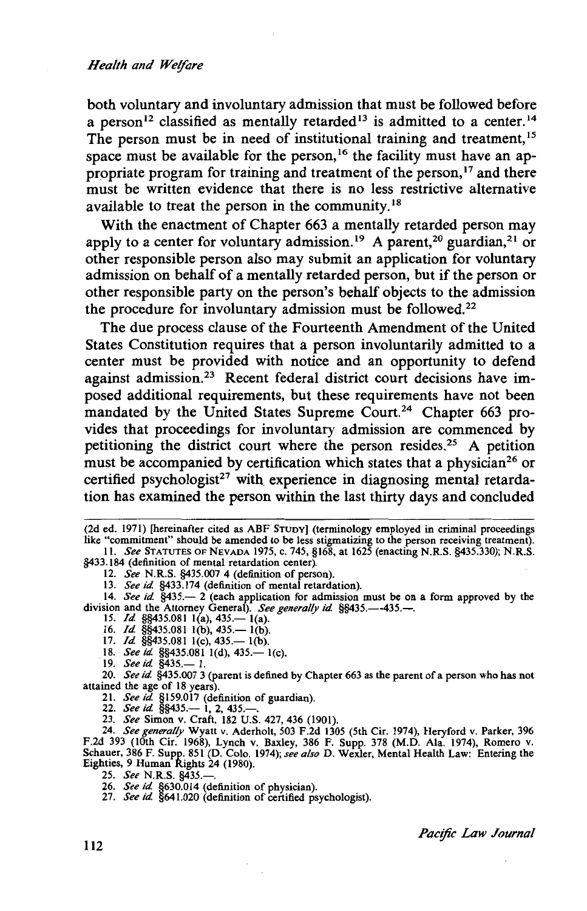both voluntary and involuntary admission that must be followed before a person<sup>12</sup> classified as mentally retarded<sup>13</sup> is admitted to a center.<sup>14</sup> The person must be in need of institutional training and treatment,<sup>15</sup> space must be available for the person,<sup>16</sup> the facility must have an appropriate program for training and treatment of the person,<sup>17</sup> and there must be written evidence that there is no less restrictive alternative available to treat the person in the community.<sup>18</sup>

With the enactment of Chapter 663 a mentally retarded person may apply to a center for voluntary admission.<sup>19</sup> A parent,<sup>20</sup> guardian,<sup>21</sup> or other responsible person also may submit an application for voluntary admission on behalf of a mentally retarded person, but if the person or other responsible party on the person's behalf objects to the admission the procedure for involuntary admission must be followed.<sup>22</sup>

The due process clause of the Fourteenth Amendment of the United States Constitution requires that a person involuntarily admitted to a center must be provided with notice and an opportunity to defend against admission.<sup>23</sup> Recent federal district court decisions have imposed additional requirements, but these requirements have not been mandated by the United States Supreme Court.<sup>24</sup> Chapter 663 provides that proceedings for involuntary admission are commenced by petitioning the district court where the person resides.<sup>25</sup> A petition must be accompanied by certification which states that a physician<sup>26</sup> or certified psychologist<sup>27</sup> with experience in diagnosing mental retardation has examined the person within the last thirty days and concluded

§433.184 (definition of mental retardation center).

12. *See* N.R.S. §435.007 4 (definition of person).

13. *See id* §433.174 (definition of mental retardation).

14. *See id.* §435.- 2 (each application for admission must be on a form approved by the division and the Attorney General). *See generally id.* §§435.---435.---. 15. *Id.* §§435.081 1(a), 435.--- 1(a).

16. *Id.* §§435.081 1(b), 435.— 1(b).

- 17. *Id.* §§435.081 1(c), 435.— 1(b).
- 18. *See id.* §§435.081 1(d), 435. <sup>1</sup>(c).

19. *See id.* §435.— 1.

20. *See id* §435.007 3 (parent is defined by Chapter 663 as the parent of a person who has not attained the age of 18 years).

21. *See id.* §159.017 (definition of guardian).<br>22. *See id.* §§435.— 1, 2, 435.—.

23. *See* Simon v. Craft, 182 U.S. 427, 436 (1901).

24. *See generally* Wyatt v. Aderholt, 503 F.2d 1305 (5th Cir. 1974), Heryford v. Parker, 396 F.2d 393 (lOth Cir. 1968), Lynch v. Baxley, 386 F. Supp. 378 (M.D. Ala. 1974), Romero v. Schauer, 386 F. Supp. 851 (D. Colo. 1974); *see also* D. Wexler, Mental Health Law: Entering the Eighties, 9 Human Rights 24 (1980).

25. *See* N.R.S. §435.-.

26. *See id* §630.014 (definition of physician). 27. *See id* §641.020 (definition of certified psychologist).

<sup>(2</sup>d ed. 1971) [hereinafter cited as ABF STUDY) (terminology employed in criminal proceedings like "commitment" should be amended to be less stigmatizing to the person receiving treatment). II. *See* STATUTES OF NEVADA 1975, c. 745, §168, at 1625 (enacting N.R.S. §435.330); N.R.S.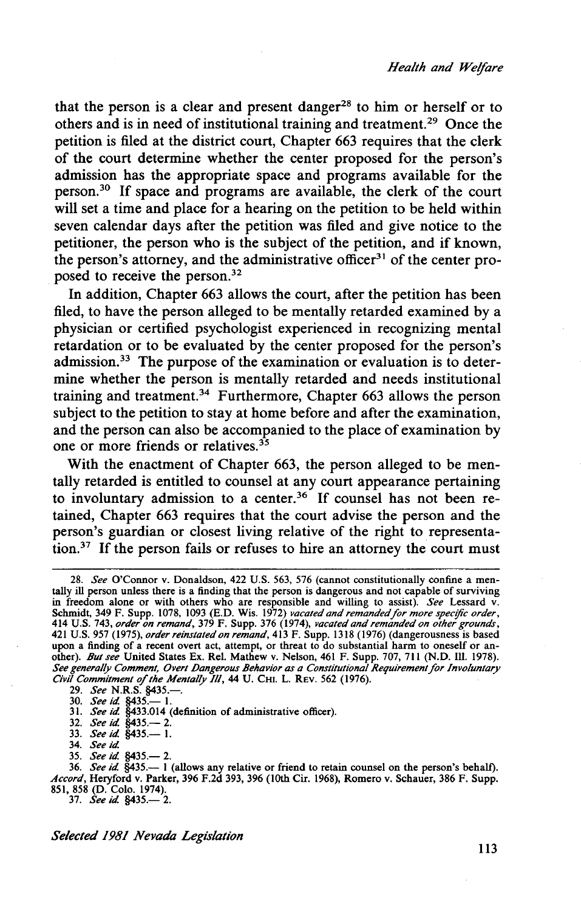that the person is a clear and present danger<sup>28</sup> to him or herself or to others and is in need of institutional training and treatment. 29 Once the petition is filed at the district court, Chapter 663 requires that the clerk of the court determine whether the center proposed for the person's admission has the appropriate space and programs available for the person.<sup>30</sup> If space and programs are available, the clerk of the court will set a time and place for a hearing on the petition to be held within seven calendar days after the petition was filed and give notice to the petitioner, the person who is the subject of the petition, and if known, the person's attorney, and the administrative officer<sup>31</sup> of the center proposed to receive the person. 32

In addition, Chapter 663 allows the court, after the petition has been filed, to have the person alleged to be mentally retarded examined by a physician or certified psychologist experienced in recognizing mental retardation or to be evaluated by the center proposed for the person's admission. $33$  The purpose of the examination or evaluation is to determine whether the person is mentally retarded and needs institutional training and treatment.34 Furthermore, Chapter 663 allows the person subject to the petition to stay at home before and after the examination, and the person can also be accompanied to the place of examination by one or more friends or relatives.  $35$ 

With the enactment of Chapter 663, the person alleged to be mentally retarded is entitled to counsel at any court appearance pertaining to involuntary admission to a center.<sup>36</sup> If counsel has not been retained, Chapter 663 requires that the court advise the person and the person's guardian or closest living relative of the right to representation.37 If the person fails or refuses to hire an attorney the court must

- 32. *See id* §435.- 2.
- 33. *See id* §435.- I.

35. *See id* §435.- 2.

<sup>28.</sup> *See* O'Connor v. Donaldson, 422 U.S. 563, 576 (cannot constitutionally confine a mentally ill person unless there is a finding that the person is dangerous and not capable of surviving in freedom alone or with others who are responsible and willing to assist). *See* Lessard v. Schmidt, 349 F. Supp. 1078, 1093 (E.D. Wis. 1972) *vacated and remanded for more specific order,*  414 U.S. 743, *order on remand,* 379 F. Supp. 376 (1974), *vacated and remanded on other grounds,*  421 U.S. 957 (1975), *order reinstated on remand,* 413 F. Supp. 1318 (1976) (dangerousness is based upon a finding of a recent overt act, attempt, or threat to do substantial harm to oneself or another). *But see* United States Ex. Rei. Mathew v. Nelson, 461 F. Supp. 707, 711 (N.D. Ill. 1978). See generally Comment, Overt Dangerous Behavior as a Constitutional Requirement for Involuntary *Civil Commitment* of *the Mentally Ill,* 44 U. CHI. L. REV. 562 (1976).

<sup>29.</sup> *See* N.R.S. §435.-.

<sup>30.</sup> *See id* §435.- I. 3 I. *See id* §433.014 (definition of administrative officer).

<sup>34.</sup> *See id* 

<sup>36.</sup> *See id* §435.- I (allows any relative or friend to retain counsel on the person's behalf). *Accord,* Heryford v. Parker, 396 F.2d 393, 396 (lOth Cir. 1968), Romero v. Schauer, 386 F. Supp. 851, 858 (D. Colo. 1974).<br>37. *See id.* §435.— 2.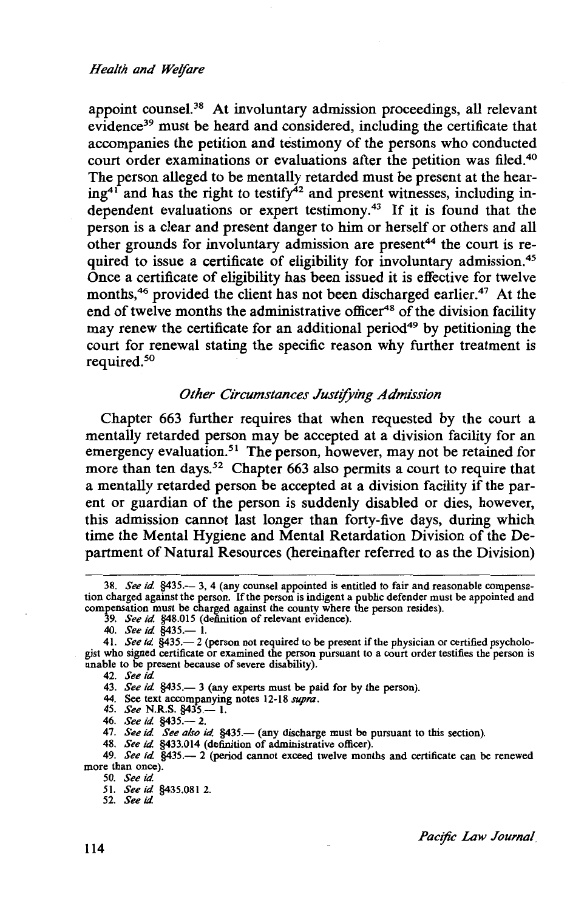#### *Health and Welfare*

appoint counsel.<sup>38</sup> At involuntary admission proceedings, all relevant evidence39 must be heard and considered, including the certificate that accompanies the petition and testimony of the persons who conducted court order examinations or evaluations after the petition was filed.<sup>40</sup> The person alleged to be mentally retarded must be present at the hearing<sup>41</sup> and has the right to testify<sup> $42$ </sup> and present witnesses, including independent evaluations or expert testimony.43 If it is found that the person is a clear and present danger to him or herself or others and all other grounds for involuntary admission are present<sup>44</sup> the court is required to issue a certificate of eligibility for involuntary admission.<sup>45</sup> Once a certificate of eligibility has been issued it is effective for twelve months,<sup>46</sup> provided the client has not been discharged earlier.<sup>47</sup> At the end of twelve months the administrative officer<sup>48</sup> of the division facility may renew the certificate for an additional period<sup>49</sup> by petitioning the court for renewal stating the specific reason why further treatment is required. 50

#### *Other Circumstances Justifying Admission*

Chapter 663 further requires that when requested by the court a mentally retarded person may be accepted at a division facility for an emergency evaluation.<sup>51</sup> The person, however, may not be retained for more than ten days.<sup>52</sup> Chapter 663 also permits a court to require that a mentally retarded person be accepted at a division facility if the parent or guardian of the person is suddenly disabled or dies, however, this admission cannot last longer than forty-five days, during which time the Mental Hygiene and Mental Retardation Division of the Department of Natural Resources (hereinafter referred to as the Division)

42. *See id.* 

44. See text accompanying notes 12-18 *supra.*  45. *See* N.R.S. §435.- l.

46. *See id.* §435.- 2.

47. *See id. See also id.* §435.— (any discharge must be pursuant to this section).

48. *See id.* §433.014 (definition of administrative officer).

50. *See id.* 

51. *See id.* §435.081 2. 52. *See id.* 

<sup>38.</sup> *See id.* §435.- 3, 4 (any counsel appointed is entitled to fair and reasonable compensation charged against the person. If the person is indigent a public defender must be appointed and compensation must be charged against the county where the person resides). 39. *See id.* §48.015 (definition of relevant evidence).

<sup>40.</sup> *See id.* §435.- l.

<sup>41.</sup> *See id.* §435.-2 (person not required to be present if the physician or certified psychologist who signed certificate or examined the person pursuant to a court order testifies the person is unable to be present because of severe disability).

<sup>43.</sup> *See id.* §435.—3 (any experts must be paid for by the person).

<sup>49.</sup> *See id.* §435.— 2 (period cannot exceed twelve months and certificate can be renewed more than once).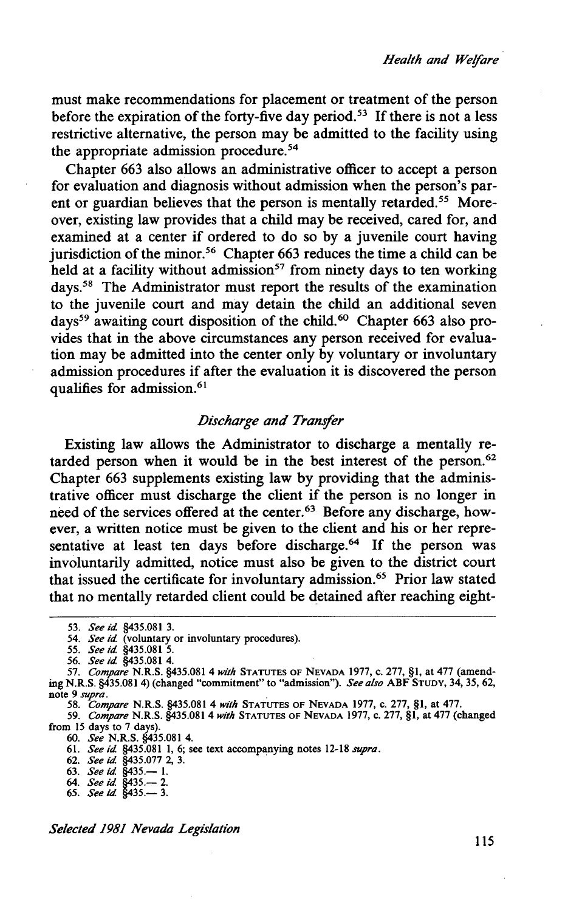must make recommendations for placement or treatment of the person before the expiration of the forty-five day period.<sup>53</sup> If there is not a less restrictive alternative, the person may be admitted to the facility using the appropriate admission procedure.<sup>54</sup>

Chapter 663 also allows an administrative officer to accept a person for evaluation and diagnosis without admission when the person's parent or guardian believes that the person is mentally retarded.<sup>55</sup> Moreover, existing law provides that a child may be received, cared for, and examined at a center if ordered to do so by a juvenile court having jurisdiction of the minor.<sup>56</sup> Chapter 663 reduces the time a child can be held at a facility without admission<sup>57</sup> from ninety days to ten working days.<sup>58</sup> The Administrator must report the results of the examination to the juvenile court and may detain the child an additional seven days59 awaiting court disposition of the child.6 ° Chapter 663 also provides that in the above circumstances any person received for evaluation may be admitted into the center only by voluntary or involuntary admission procedures if after the evaluation it is discovered the person qualifies for admission.<sup>61</sup>

#### *Discharge and Transfer*

Existing law allows the Administrator to discharge a mentally retarded person when it would be in the best interest of the person. 62 Chapter 663 supplements existing law by providing that the administrative officer must discharge the client if the person is no longer in need of the services offered at the center.63 Before any discharge, however, a written notice must be given to the client and his or her representative at least ten days before discharge.<sup>64</sup> If the person was involuntarily admitted, notice must also be given to the district court that issued the certificate for involuntary admission.65 Prior law stated that no mentally retarded client could be detained after reaching eight-

*55. See id* §435.081 *5.* 

60. *See* N.R.S. §435.081 4.

61. *See id* §435.081 l, 6; see text accompanying notes 12-18 *supra.* 

62. *See id* §435.077 2, 3.

64. *See id* §435.- 2. 65. *See id* §435.- 3.

<sup>53.</sup> *See kl.* §435.081 3.

*<sup>54.</sup> See id* (voluntary or involuntary procedures).

<sup>56.</sup> *See id* §435.081 4.

<sup>57.</sup> *Compare* N.R.S. §435.081 4 *with* STATUTES OF NEVADA 1977, C. 277, §1, at 477 (amending N.R.S. §435.0814) (changed "commitment" to "admission"). *See also* ABF STUDY, 34, 35, 62, note 9 *supra.* . 58. *Compare* N.R.S. §435.081 4 *with* STATUTES OF NEVADA 1977, C. 277, §1, at 477.

<sup>59.</sup> *Compare* N.R.S. §435.081 4 *with* STATUTES OF NEVADA 1977, c. 277, §1, at 477 (changed from 15 days to 7 days).

<sup>63.</sup> *See id* §435.- l.